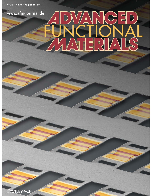# **www.afm-journal.de** F  $\overline{Q}$ 녭  $\boxed{D}$  $\sqrt{\Delta}$

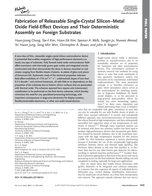

FUNCTIONAL **www.afm-journal.de**

## **Fabrication of Releasable Single-Crystal Silicon–Metal Oxide Field-Effect Devices and Their Deterministic Assembly on Foreign Substrates**

 *Hyun-Joong Chung , Tae-il Kim , Hoon-Sik Kim , Spencer A. Wells , Sungjin Jo , Numair Ahmed , Yei Hwan Jung, Sang Min Won, Christopher A. Bower, and John A. Rogers\** 

 **A new class of thin, releasable single-crystal silicon semiconductor device is presented that enables integration of high-performance electronics on**  nearly any type of substrate. Fully formed metal oxide-semiconductor field**effect transistors with thermally grown gate oxides and integrated circuits constructed with them demonstrate the ideas in devices mounted on sub**strates ranging from flexible sheets of plastic, to plates of glass and pieces **of aluminum foil. Systematic study of the electrical properties indicates**  field-effect mobilities of ≈710 cm<sup>2</sup> V<sup>-1</sup> s<sup>-1</sup>, subthreshold slopes of less than 0.2 V decade<sup>-1</sup> and minimal hysteresis, all with little to no dependence on the **properties of the substrate due to bottom silicon surfaces that are passivated with thermal oxide. The schemes reported here require only interconnect**  metallization to be performed on the final device substrate, which thereby **minimizes the need for any specialized processing technology, with important consequences in large-area electronics for display systems,**  flexible/stretchable electronics, or other non-wafer-based devices.

Dr. H.-J. Chung, <sup>[†]</sup> Dr. T.-i. Kim, <sup>[†]</sup> H.-S. Kim, S. A. Wells, Dr. S. Jo Department of Materials Science and Engineering University of Illinois at Urbana-Champaign Urbana, IL 61801, USA N. Ahmed Department of Mechanical Science and Engineering Center for Nanoscale Chemical-Electrical-Mechanical Manufacturing Systems University of Illinois at Urbana-Champaign Urbana, IL 61801, USA Y. H. Jung, S. M. Won Department of Electrical and Computer Engineering University of Illinois at Urbana-Champaign Urbana, IL 61801, USA Dr. C. A. Bower Semprius Inc. 4915 Prospectus Dr., Suite C, Durham, NC 27713, USA Prof. J. A. Rogers Department of Materials Science and Engineering Chemistry, Science and Engineering, Electrical, and Computer Engineering Beckman Institute for Advanced Science and Technology, and Frederick Seitz Materials Research Laboratory University of Illinois at Urbana-Champaign Urbana, IL 61801, USA E-mail: jrogers@illinois.edu [ $\dagger$ ] H.-J.C and T.-i.K. contributed equally to this work.

#### **DOI: 10.1002/adfm.201100124**

## **1. Introduction**

 Single-crystal silicon holds a dominant position in microelectronics, due to its remarkably attractive set of properties for transistors and other semiconductor devices. This circumstance continues to motivate research into methods for using silicon in ways that avoid constraints in size, geometry, mechanics, and/or cost structures set by conventional, wafer-based implementations. The most prominent example is in thin-film electronics on glass, where amorphous silicon serves as the semiconductor for switching transistors in large-area backplanes for liquidcrystal displays, or as the precursor to large-grained polycrystalline silicon for similar, but more demanding, applications.<sup>[1]</sup> In these cases, deposition and related processing steps occur at tempera-

tures that are compatible with glass, sometimes in ways that can also be extended for use with flexible sheets of plastic or other more unusual substrates.<sup>[2]</sup> A second, and conceptually different approach uses micro/nanostructures of monocrystalline silicon formed at high temperatures, and then subsequently assembled into organized arrays at low temperatures on substrates of interest.<sup>[3-7]</sup> Although many important systems can be achieved with these two schemes, neither has been used to produce high-performance devices that incorporate gate dielectrics formed by thermal oxidation, due to the constraints associated with the high temperatures required for this process (>1000 °C). This limitation represents a serious shortcoming because it precludes the use of the exceptionally high-quality interfaces between silicon and thermal oxide (tg-SiO<sub>2</sub>). The electronic defect density at and near this interface is, in fact, lower than that for any other known gate dielectric for silicon, resulting in optimal transistor performance.<sup>[8-11]</sup> Another drawback of previous approaches is that most of the device and circuit processing occurs on the final substrate, thereby adding cost and complexity in tooling, especially for large-area applications.

 Here we report ideas that enable silicon electronics with tg-SiO<sub>2</sub> dielectrics to be integrated onto arbitrary substrates, in a manner that also separates all aspects of individual device fabrication (e.g., contact doping, metallization, interconnection for small-scale circuit blocks, etc.) from their incorporation into systems. The approach extends schemes that use micro/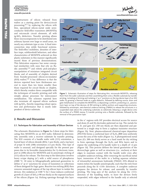

nanostructures of silicon released from wafers as a starting point for device/circuit processing,<sup>[6,7]</sup> by replacing the silicon with thin, specialized silicon–metal oxide semiconductor field-effect transistors (MOSFETs) and microscale circuit elements, all with  $tg-SiO<sub>2</sub>$  dielectrics. Transfer printing allows these microcomponents to be distributed into arbitrary layouts over large or small areas, on nearly any substrate type or size. A final interconnection step yields functional systems. The field-effect mobilities, densities of interface traps, subthreshold behaviors, and other characteristics of MOSFETs achieved on thin plastic substrates in this manner significantly exceed those of previous demonstrations. This fabrication sequence has some conceptual similarities with ones that rely on fluidic assembly,<sup>[3,4]</sup> and robotic pick-and-place manipulation of miniature integrated circuit blocks and of assembly of chiplets derived from foundry-processed silicon-on-insulator  $(SOI)$  wafers.<sup>[12]</sup> A key difference is that the devices reported here have thicknesses several to more than ten times smaller than those required for circuit blocks or chiplets, which thereby renders them compatible with the techniques of transfer printing and with simple, planar processes for interconnect metallization. The schemes reported here also terminate all exposed silicon surfaces with tg-SiO<sub>2</sub>, thereby imparting robust operation and performance that is nearly independent of device substrate.



**www.MaterialsViews.com**

Figure 1. Schematic illustration of steps for fabricating thin, microscale MOSFETs, releasing them from the wafer substrate and then assembling them onto a flexible substrate by transfer printing, including a) forming and isolating n<sup>+</sup>-p-n<sup>+</sup> junctions on the top device layer of an SOI wafer; b) growing a thermal oxide as a gate dielectric, followed by defining source, drain and gate metallization to complete the MOSFETs; c) depositing a uniform, protecting (i.e., passivation) layer on top of the devices; d) RIE etching to define anchors and supporting structures, followed by anisotropic, wet-chemical undercut etching (TMAH) to release the structures in a suspended state above the underlying substrate; e) selectively releasing a single device onto the surface of a PDMS stamp; f) transfer printing onto a flexible substrate, followed by the removal of the passivation layer.

## **2. Results and Discussion**

#### **2.1. Techniques for Fabrication and Assembly of Silicon Devices**

 The schematic illustrations in **Figure 1** a–f show steps for fabricating thin MOSFETs on an SOI wafer, followed by deterministic assembly onto a receiver substrate by transfer printing. The SOI consists of a handle wafer with (111) orientation, a buried layer of silicon dioxide (BOx; 1 μm thick), and a top layer of p-type Si with (100) orientation ( $\approx$ 2 µm thick). This type of wafer is unusual, and designed specially for the present purposes due to its favorable characteristics for 1) electronic transport in (100) silicon for MOSFETs and 2) anisotropic etching of (111) silicon for release. The first step in the fabrication involves heavy n-type doping  $(n^{+})$  with a solid source of phosphorus (1000 ° C, 10 min) in lithographically patterned geometries to define  $n^+$ -p- $n^+$  junctions for arrays of transistors or collections of them designed for logic gates. Reactive-ion etching (RIE) then removes unwanted regions of the top silicon layer to isolate the devices. Dry oxidation at 1100 °C for 1 hour induces conformal growth of a layer of  $SiO<sub>2</sub>$  ( $\approx$ 90 nm thick) on the exposed surfaces of the silicon (Figure 1a). Etching openings through this layer

in the  $n^+$  regions with HF provides electrical access for source and drain (S and D) electrodes patterned on top. The metals for S, D, and gate (Cr; 250 nm thick) are then deposited and patterned in a single step to form a coplanar transistor structure (Figure 1b). Next, plasma-enhanced chemical-vapor deposition (PECVD) forms a conformal layer of  $Si_3N_4$  (800 nm) uniformly across the area of the wafer (Figure 1c). A photopatterned metal layer (Cr; 200 nm thick) serves as a hard mask for dry etching to form openings through the  $Si<sub>3</sub>N<sub>4</sub>$  and BOx layers and to expose the underlying (111) handle wafer to a depth of  $\approx$ 2 µm (Figure 1d). This process defines the lateral geometries of the devices/logic gates as well as structures (i.e., anchors) at their edges to maintain contact with the handle wafer even after complete undercut etching. After removing the sacrificial metal layer, immersion of the wafer in a boiling aqueous solution of tetramethyl ammonium hydroxide (TMAH; 25% diluted in water) etches the handle anisotropically, such that the etch front proceeds along the Si <110> directions. A complete undercut prepares the devices for release, and assembly by transfer printing. The long axes of the anchors lie along the <111> direction of the handling wafer, to leave the devices freely suspended, with edges tethered to the handle only at selected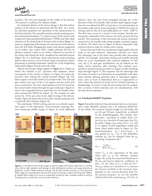**www.afm-journal.de**

FUNCTIONAL



**www.MaterialsViews.com**

locations. The etch time depends on the widths of the devices; ≈90 minutes is sufficient for 180-µm widths.

 An important feature of the device design is that the bottom surfaces of the silicon are passivated with the BOx. As a result, the electronic properties are insensitive to the characteristics of the final substrate. The assembly involves transfer-printing procedures described elsewhere,<sup>[7]</sup> in which contact of the devices with a patterned stamp (polydimethylsiloxane; PDMS) and then rapid retraction of the stamp leads to fracture at the anchors (Figure 1e; shown in Supporting Information S1) and removal of the devices from the SOI wafer. Bringing the stamp, with devices supported on its surface, into contact with a target substrate that has an adhesive material coated on its surface, followed by removal of the stamp and etching the  $Si<sub>3</sub>N<sub>4</sub>$  completes the assembly process (Figure 1f). As a final step, metal interconnects and/or probing pads to these devices can be formed using conventional, planar processing or printing techniques. Details are in the Supporting Information (Figure S2 and movie M1, M2).

 Optical microscopy images appear in **Figure 2** a–d. Figure 2 a shows two isolated  $n^+$ -p- $n^+$  junctions after oxidation, which corresponds to the cartoon in Figure 1a. Figure 2b reveals the structure after etching the vertical trenches (Figure 1d). The black regions reveal the etched (111) handle wafer. The S/D and gate metals cover part of the  $n^+$ -Si regions and the entire p-Si areas, respectively. The four small squares in the S/D metal are the contact holes etched through the gate oxide layer. Figure 2c shows two suspended devices spanning over the handle wafer, after etching with TMAH (cf. Figure 1e). The variation in color across the <110> axis arises from slight bowing of the devices. Finally, Figure 2d shows two devices after transfer printing onto a polyimide (PI) substrate (Figure 1f).

 The anisotropic TMAH etching process is a critically important aspect of the fabrication. Cross-sectional scanning electron microscopy (SEM) images in Figure 2e reveal additional



Figure 2. a-d) Optical microscopy images at various stages of the device fabrication, including (from left) a) after oxidation and doping, b) after defining the anchors and supporting device platforms, c) after TMAH undercut etching, and d) after transfer printing. e) Cross-sectional SEM image of a representative device after partial anisotropic undercut etching with TMAH. g) Angled SEM image of an array of suspended structures after complete undercut etching, showing anchors at the four corners of each element.

features. Here, the etch fronts propagate through the <110> direction of the (111) handle wafer (trench depth appears larger than the one defined by RIE ( $\approx$ 2 µm) due to i) misorientation in the handle wafer and ii) weak anisotropy of TMAH; the ratios of etching rates for the (111) and (100) planes are ≈0.02 – 0.08<sup>[13]</sup>). The BOx layer serves as a barrier to the etchant, thereby protecting the undersides of the devices; the  $Si<sub>3</sub>N<sub>4</sub>$  protects the top surface. The anisotropy of the etch leaves the anchor structures connected to the handle wafer along straight, unetched regions of silicon. The tilted view in Figure 2f shows suspended, fully undercut devices ready for release onto a stamp.

 Devices formed in this way incorporate a high quality, thermal oxide as the gate dielectric. Alternative schemes can retain this advantage, and at the same time provide other processing options. For example, anisotropic etching and transfer printing steps can occur immediately after thermal oxidation. In this case, the S, D, and gate metallization can be defined on the target, device substrate, after printing. This method corresponds to performing the processes in Figure 1b after finishing steps through Figure 1f. This sequence has the advantage that the choice of metal is not limited by its compatibility with other steps, thereby offering potential value in specialized applications, such as those in biomedical devices or high-speed circuits, where the selection of metal can be critically important. A disadvantage, of course, is that the processing must be compatible, in terms of both materials and cost considerations, with the final device substrate.

#### **2.2. Transferred MOSFET Properties**

**Figure 3** provides electrical characterization data for a representative n-type MOSFET printed onto a PI substrate (KAPTON; <sup>25</sup>μ m thick). The nominal channel length ( *L* ) and width ( *W* )

> are 20 and 150  $\mu$ m, respectively, as defined by the photolithography. The transfer characteristics, consisting of output drain current  $(I_D)$  as a function of input gate bias  $(V_G)$ for drain voltage  $(V_D)$  values of 0.1, 2.1, and 4.1 V, appear in both logarithmic (solid) and linear (short dash) scales in Figure 3a. The transconductance,  $g_m = (\partial I_D / \partial V_G)|_{V_D}$ , is<br>also plotted for  $V_D = 0.1$  V. The field effect also plotted for  $V_D = 0.1$  V. The field-effect mobility  $\mu_{FE}$  can be obtained from the  $g_m$ according to Equation  $(1)$ <sup>[14]</sup>

$$
\mu_{\rm FE} = \left. \frac{L_{\rm eff} g_m}{W C_{\rm ox} V_{\rm D}} \right|_{V_{\rm D} \to 0} \tag{1}
$$

where  $C_{ox}$  is the capacitance of the gate oxide and *L*<sub>eff</sub> is the effective channel length. By using the measured thickness of 90 nm and known dielectric coefficient of SiO<sub>2</sub>, 3.9, the value of  $C_{ox}$  is 38.4 nF cm<sup>-2</sup>. The  $\mu_{\text{FE}}$  values are a function of  $V_C$  because the electron mobility in the inversion layer depends on the vertical electrical field. For the present purposes, we use the mobility obtained from the maximum *g*<sub>*m*</sub>, 27.2 μS, as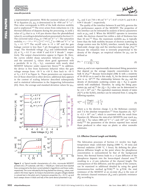

**FUNCTIONAL www.afm-journal.de**

a representative parameter. With the nominal values of *L* and *W* in Equation (1),  $\mu_{FE}$  is determined to be ≈950 cm<sup>2</sup> V<sup>-1</sup> s<sup>-1</sup>. This value corresponds to 85% of the bulk electron mobility and is unphysical. [15] The error arises from reductions in *L* by thermal diffusion of dopants during the processing, to yield a value of  $L_{\text{eff}}$  that is ca. 4.45  $\mu$ m shorter than the photodefined value (L), according to detailed analysis presented in Section 2.3. The corrected value of  $\mu_{FE}$  is ≈740 cm<sup>2</sup> V<sup>-1</sup> s<sup>-1</sup>. The saturation mobility,  $\mu_{\text{sat}} = (2L_{\text{eff}} / W C_{\text{ox}}) \left[ (\partial I_{\text{D}}^{1/2} / \partial V_{\text{G}}) \Big|_{V_{\text{D}}} \right]^2$  is ≈580 cm<sup>2</sup> V<sup>-1</sup> s<sup>-1</sup> at  $V_{\text{D}} = 4.1 \text{ V}^{[14]}$  The on/off ratio is  $> 5 \times 10^6$  and the gate leakage current is less than 7 pA throughout the measured range. The threshold voltage (Vth) and subthreshold swing (S) at  $V_D = 0.1$  V are +0.60 V and 0.14 V decade<sup>-1</sup>, respectively. The output characteristics appear in Figure 3b. Here, the curves exhibit sharp saturation behavior at high  $V_D$ and the saturated  $I_D$  values show good agreement with a parabolic fit to  $(V_G - V_{th})$ , consistent with nearly ideal MOSFET behavior under square-law theory.<sup>[16]</sup> In addition, the device is free from hysteresis behavior when the gate voltage sweeps from  $-10$  V to  $+10$  V, then back to  $-10$  V at  $V_D = 0.3$  V in Figure 3c. These parameters are representative of those observed in other devices; additional data appears in the context of scaling behavior described subsequently and in statistical information in the Supporting Information (S3). Here, the average and standard deviation values for  $\mu_{\text{FE}}$ ,



Figure 3. a) Typical transfer characteristics of a thin, microscale MOSFET printed onto a PI substrate, with *W*/L = 150/20 μm. Solid and short dashed lines correspond to the drain current plotted in logarithmic and linear scales, respectively. The curve indicated by the long dashed line shows  $g_m$  values, evaluated in the linear regime. b) Output characteristics (at gate voltages labeled in colored text in the plot) and c) hysteresis properties  $(V_D = 0.3 V; up and$ back sweeps shown in black and red) of the same device presented in (a).



*V*<sub>th</sub>, and *S* are 710 ± 40 cm<sup>2</sup> V<sup>-1</sup> s<sup>-1</sup>, 0.47 ± 0.24 V, and 0.18 ± 0.04 V decade $^{-1}$ , respectively.

The quality of the interface between Si and  $SiO<sub>2</sub>$  governs the key performance aspects of the MOSFET. The properties of this interface can be estimated by analysis of device parameters such as  $\mu$ <sub>FE</sub> and *S*. When the MOSFET operates in inversion mode, the electron channel lies within a slab of thickness less than 10 nm.<sup>[15]</sup> Thus, the maximum mobility  $\mu_{FE}$  is typically lower than the bulk mobility because of electron scattering by charge centers near the  $Si/SiO<sub>2</sub>$  interface, namely the positive fixed-oxide charge  $(Q_f)$  and the interface-state charge  $(N_{it})$ .<sup>[15]</sup> Because the relaxation time is inversely proportional to the density of the charges, an empirical relation for  $\mu_{FE}$  can be defined as

$$
\mu_{\rm FE} = \frac{\mu_0}{1 + \alpha \left(Q_f + N_{\rm it}\right)}\tag{2}
$$

where  $\mu_0$  and  $\alpha$  are experimentally determined fitting parameters that depend on the average impurity concentration in the bulk Si  $(N_A)$ .<sup>[15]</sup> Because boron-doped (100) Si with a resistivity of 10–20 O.cm is used in this study. N. for the devices reported of 10–20  $\Omega$  · cm is used in this study,  $N_A$  for the devices reported here is ca.  $10^{15}$ .<sup>[16]</sup> The relationship between the  $\mu$ <sub>FE</sub> and the density of electrostatic scattering centers  $(Q_f + N_{it})$  is quantitatively well established. Therefore, by using the fitting parameters  $(\mu_0 \text{ and } \alpha)$ , <sup>[15]</sup> the  $(Q_f + N_{it})$  value can be determined to the  $\approx 2.2 \times 10^{11}$  cm<sup>-2</sup>. The equivalent maximum density of states be  $\approx 2.2 \times 10^{11}$  cm<sup>-2</sup>. The equivalent maximum density of states  $(N_{\rm ss}^{\rm max})$  at the Si/SiO<sub>2</sub> interface can be extracted from *S*, using the following equation following equation,

$$
N_{\rm ss}^{\rm max} = \left(\frac{\rm S \log(e)}{\rm k} - 1\right) \frac{C_{\rm ox}}{q} \tag{3}
$$

where q is the electron charge, k is the Boltzman constant, and *T* is the absolute temperature.<sup>[17]</sup> From Equation (3),  $N_{\rm ss}^{\rm max}$ <br>is  $\approx 3.2 \times 10^{11}$  cm<sup>-2</sup>, which is consistent with the result from is ≈3.2  $\times$  10<sup>11</sup> cm<sup>-2</sup>, which is consistent with the result from Equation (2). Whereas the state-of-art MOSFETs may reach  $\mu_{FE}$ and  $(Q_f + N_{\text{it}})$  values >800 cm<sup>2</sup> V<sup>-1</sup> s<sup>-1</sup>, and <10<sup>11</sup> cm<sup>-2</sup> respec-<br>tively <sup>[9,15]</sup> the parameters of the devices reported bere exceed tively,<sup>[9,15]</sup> the parameters of the devices reported here exceed those produced in other ways on plastic or other nonwafer substrates.

#### **2.3. Effective Channel Length and Mobility**

 The fabrication processes of Section 2.1 involve two hightemperature steps: solid-state doping  $(1000 \degree C, 10 \text{ min})$  and thermal oxidation (1100 $\degree$ C, 1 hour). By defining the phosphorus diffusion length as the point where the phosphorus concentration is outnumbered by that of the background boron, this thermal history leads to a  $\approx$  2 µm diffusion of the phosphorus dopants into the boron-doped channel area,<sup>[18]</sup> resulting in a ≈4  $\mu$ m reduction of the channel length. The consequences of this diffusion, and the quality of the contacts, can be examined in additional detailed by using the gated transmission-line method (g-TLM).<sup>[19]</sup> In g-TLM, the total resistance of the MOSFET at an on-state  $(R_{on})$  is the sum of the intrinsic channel resistance  $(R<sub>ch</sub>)$  and a parasitic resistance  $(R_n)$  according to,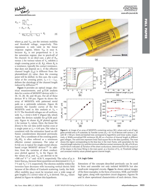**www.MaterialsViews.com**

$$
R_{\rm on} = \frac{\partial V_{\rm D}}{\partial I_{\rm D}}\Big|_{V_{\rm DS}\to 0}^{V_{\rm G}}
$$
  
=  $R_{\rm ch} + R_{\rm p}$   
=  $\frac{L}{W\mu_{\rm i}C_{\rm ox}(V_{\rm G} - V_{\rm th,i})} + R_{\rm p}$  (4)

where  $\mu_i$  and  $V_{th,i}$  are the intrinsic mobility and threshold voltage, respectively. This expression is only valid in the linear response regime, where  $V_{DS}$  is near 0, because *R*ch is not proportional to *L* in the saturation regime, due to pinch-off of the channel. In an ideal case, a plot of R<sub>on</sub> versus *L* for various values of  $V<sub>G</sub>$  exhibits a single crossing point at  $(0, R_p)$ , where  $R_p$  is a resistance, typically the contact resistance, that does not depend on *L*. If the effective channel length (Leff) is different from the photodefined (*L*) value, then the crossing point will be shifted. In this case, the *x*-axis value at the crossing point,  $L_0 = L - L_{\text{eff}}$ , defines the shrinkage of the channel length induced by diffusion.<sup>[19]</sup>

**Figure 4** provides an optical image, electrical measurements, and g-TLM analysis data for a series of MOSFET devices with *L* <sup>=</sup> 10, 15, 20, 30, and 40 μm. For all of these devices  $W$  is 150  $\mu$ m. Figure 4a shows the array of MOSFETs with patterned metal pads on a polyimide substrate. Figure 4b presents the transfer curves of the five MOSFETs used in this analysis at  $V_D$  = 0.1 V. The threshold voltages are all uniform, with  $V_{\text{th}} = +0.42 \pm 0.05 \text{ V}$  (Figure 4d), which makes the devices suitable for g-TLM analysis. Figure 4c shows  $R_{on}$ *W* plotted against *L* for various *V*<sub>G</sub> values. Here, the linear fits (lines) to the raw data (solid marks) cross at a single point at  $L_0 = 4.45$  µm. The value is consistent with the estimation based on diffusion considerations discussed previously, <sup>4</sup>μ m. The *y* coordinate of the crossing point,  $(R_{on}W)_{0}$  is often referred as a minimum effective contact resistance. The value of 0.4  $\Omega$  · cm is typical for single-crystal siliconbased n-type MOSFET devices.<sup>[19]</sup> In addition, from the variation of sheet conductance plotted against V<sub>G</sub> in the Figure 4d, the values of  $\mu_i$  and  $V_{th,i}$  are derived to be

≈500 cm<sup>2</sup> V<sup>-1</sup> s<sup>-1</sup> and -0.56 V, respectively. The value of  $\mu$ <sub>i</sub> is lower than  $\mu_{FE}$  because these quantities are determined  $4 \leq V_G \leq$ 7 V and  $V_G$  ≈ 1 V, respectively. The electron mobility within the inversion layer decreases with increasing vertical electric field because of the effects of Coulomb scattering. Lastly, the fieldeffect mobility ( $\mu$ <sub>FE</sub>) must be invariant over a wide range of gate lengths if a correct value of  $L_0$  is derived. The  $\mu$ <sub>FE</sub> values plotted in Figure 4e validate this hypothesis.







Figure 4. a) Image of an array of MOSFETs containing various W/L values and a set of logic gates printed onto a PI substrate. b) Transfer curves ( $V_D = 0.1$  V) of devices with various *L*, all with *W* = 150 μm. Solid and dashed lines correspond to logarithmic and linear scales, respectively. c) Width-normalized ON resistance ( $R_{on}$ W) as a function of channel length at different gate voltages. The solid lines represent linear least-square fits to the data (symbols). The inset shows the region corresponding to the blue box in the main frame, with parameters for the channel-length reduction (*L*<sub>0</sub>) and the minimum effective contact resistance (R<sub>on</sub>W)<sub>0</sub> of 4.45 μm and 0.4  $\Omega$ -cm indicated. d) Variation of the sheet conductance, determined from the reciprocal of the slopes in the linear fitting in the main panel, as a function of  $V_C$ . e) Threshold voltage and corrected mobility values plotted against channel length.

#### **2.4. Logic Gates**

 Extensions of the concepts described previously can be used to form and assemble not only isolated MOSFETs but also small-scale integrated circuits. **Figure 5** a shows optical images of the three examples, in the form of inverters, NOR, and NAND logic gates, along with equivalent circuit diagrams. Figures 5b and 5c show operational characteristics of such devices. Here,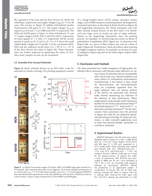

*W*/*L* geometry of the load and the drive devices are 30/40 and 120/20 μm, respectively, and supply voltages (Vdd) are 1 V for all cases. The inverter in Figure 5b exhibits well-defined transfer characteristics with gains of ≈2.1. The output voltages ( $V_{\text{out}}$ ) at inputs  $(V_{in})$  of 0 and 1 V are 0.885 and 0.035 V, respectively. The NOR and NAND gates in Figure 5c show well-defined "0" and "1" output voltages of 0.01–0.04 V and 0.93–0.96 V, respectively, for input signals of  $-1$  V and  $+1$  V, respectively. All the circuits operate at small  $V_{dd}$  of 1 V and  $V_{in}$  of  $-1$  to  $+1$  V, due to the small subthreshold voltages (0.2 V decade<sup>-1</sup>) of the constituent MOS-FETs and the sufficient on/off ratios (1.2  $\times$  10<sup>4</sup> at  $V_G = \pm 1$  V) of the drive devices (see inset in Figure 5b). These characteristics can further improved by optimizing the values of  $W/L$ . Also, more complex circuits can be envisioned.

## **2.5. Assembly Onto Unusual Substrates**

**Figure 6** a shows released devices on an SOI wafer, ready for assembly by transfer printing. The printing equipment consists



Figure 5. a) Optical microscopy images of inverter, NOR, and NAND logic gates printed on a PI substrate, with respective equivalent circuit diagrams. b) Current–voltage characteristics of an inverter with  $V_{dd} = 1$  V. The inset shows transfer curves  $(V_D = 1 V)$  from adjacent MOSFETs that have identical *W*/L geometries as the load (30/40 μm) and the drive (120/20 μm) devices in the inverter. c) Input–output characteristics of the NAND and NOR gates.

of a charge-coupled device (CCD) camera, precision motion stages, and a PDMS stamp in a mounting fixture, all designed for automated operation as described in detail elsewhere (Figure 6b and Supporting Information S2). These techniques and tools allow densely arrayed devices on the SOI wafer to be distributed over large areas on nearly any type of target substrate. Movies in the Supporting Information show the printing process. As examples, we formed large-area arrays on sheets of polyethylene terephthalate (PET; Figure 6c), on aluminum foil (Figure 6d), on a piece of fabric (Figure 6e), and on a sheet of paper (Figure 6f). Furthermore, these procedures allow printing on highly nonplanar surfaces, for example, on the lens of a pair of eyeglasses (Figure 6g) and on the sharp edges of glass slides (Figure 6h).

## **3. Conclusion and Outlook**

 The ideas presented here enable integration of high-quality, distributed silicon electronics with thermal oxide dielectrics on var-

ious classes of substrates that are incompatible with critical steps (e.g., thermal oxidation and many others) in conventional semiconductor manufacturing. A key feature is that, except for interconnection, the device-fabrication steps are completely separated from the target substrate. Also, the bottom surfaces of the devices are passivated with thermal oxide, thereby minimizing any influence of the substrate on their performance. When implemented using foundry wafer fabrication facilities for the devices and advanced inkjet, [20] electrohydrodynamic,<sup>[21,22]</sup> direct-write,<sup>[23]</sup> or alternative printing techniques<sup>[24]</sup> for the interconnect, these procedures have the potential to bypass the need for any additional specialized processing technology for large-area electronics, or other nonwafer applications such as those that demand flexible, stretchable, or curvilinear substrates.

## **4. Experimental Section**

*MOSFET Fabrication*: The SOI wafer was custom designed (Silicon Quest Inc.) with a (100) device layer (2  $\pm$  0.5 μm; boron doped; 10–20 Ω· cm) and BOx layer (1  $\pm$  0.05  $\mu$ m) supported on a (111) handle wafer. These substrates were cleaved and cleaned with SC-1 ( $NH_4OH:H_2O_2:H_2O =$ 1:1:5) and SC-2  $(HCl:H_2O_2:H_2O = 1:1:6)$ . Dry oxidation formed a 300-nm oxide layer as a mask for the doping process. To pattern this oxide, a layer of photoresist (PR; AZ5214) was spincoated at 4000 rpm for 40 s and soft-baked at 110 °C for 2 min. An ultraviolet (UV) exposure followed by developing (MIF327) defined the photoresist in an appropriate pattern. A combination of  $CH_4/O_2$  RIE and 6:1 BOE wetetching removed the oxide to expose areas for  $n^{+}$  doping. After cleaning the wafer again with SC-1 and SC-2, doping was performed in a tube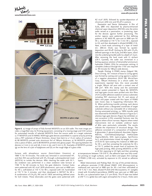**www.MaterialsViews.com**



 **Figure 6 .** a) Image of arrays of fully formed MOSFETs on an SOI wafer. The inset image provides a magnified view. b) Printing equipment, consisting of a moving stage and CCD camera for automated transfer of selected MOSFETs from the source wafer to a target substrate. c) 77 MOSFETs and 33 NAND, NOR logic-gate devices assembled in a sparse array by printing onto a PET substrate of 50-μm thickness, shown here bent to a 1.5-cm radius of curvature. d) 80 MOSFETs printed onto aluminum foil of 100-μm thickness, e) 56 MOSFETs printed onto a piece of fabric, and f) 80 MOSFETs printed onto glossy paper. The spacing between the devices is 2 mm in (c) and (d), 4 mm in (e), and 3 mm in (f). Examples of MOSFETs printed (g) on the lens of a pair of eyeglasses and (h) on the rough edge of a glass slide.

furnace with phosphorus source (Saint-Gobain Ceramics) at 1000 °C for 10 minutes. The oxide was removed in concentrated HF, and then RIE was performed with  $SF_6$  through a photopatterned mask (AZ5214) to isolate the devices. After cleaning the wafer with SC-1, dry oxidation was performed in a clean oxidation tube furnace at 1100 °C for 60 minutes to form the gate dielectric. Contact holes were patterned with AZ nLoF 2070 photoresist, spin-cast at 4000 rpm for 40 s, soft-baked at 110 °C for 90 s, exposed with UV, hard-baked at 110 °C for 2 minutes, and then developed in MIF327 for 60 s. A combination of  $CH_4/O_2$  RIE and 6:1 BOE wet-etching defined areas for S/D metals. These electrodes and the gates were patterned with

AZ nLoF 2070, followed by sputter-deposition of chromium (250 nm) and lift-off in acetone.

Passivation and Device Delineation: A film of  $Si<sub>3</sub>N<sub>4</sub>$  (800 nm) deposited by plasma-enhanced chemical vapor deposition (PECVD) onto the entire wafer served as a passivation, or protecting, layer for the devices against further processing. The anchor regions were patterned by first defining patterns in AZ 4620 PR, spin-cast at 3000 rpm for 30 s, soft-baked at 110 °C for 3 min 30 s, exposed to UV, and then developed in diluted AZ400K (1:3). Next, a hard mask consisting of a layer of metal (Cr; 200-nm thick) was formed by sputterdeposition and lift-off. Etching by RIE with  $CF_4/O_2$ defined openings in the  $Si<sub>3</sub>N<sub>4</sub>$  and BOx layers, down into the underlying handle wafer to a depth of  $\approx$  2  $\mu$ m. After removing the hard mask with Cr etchant (CR-7; Cyantek), the wafer was immersed in a boiling aqueous solution of tetramethyl ammonium hydroxide (TMAH; 25%) for anisotropic etching. A complete undercut through the <110> axis required ca. 90 minutes for 180-μm wide devices.

*Transfer Printing*: A PDMS stamp (Sylgard 184, Dow Corning, 10:1 mixture of base to curing agent) was formed by casting and curing against a pattern of a negative photoresist (SU-8 100, MicroChem Corp., 100-μm thickness) on a silicon wafer. For experiments reported here, this resist provided a single 100-μm tall post with a contact area of 200  $\mu$ m<sup>2</sup>. With this stamp and the automated printer system presented in Figure 6b, MOSFETs and logic-gate circuits were printed onto thin films of UV-curable adhesive coated on various substrates including PET, aluminum foil, PI, and pieces of fabric and paper coated with thin layers of PDMS (see movie clips in Supporting Information M1, 2). When performing transfer printing, each device was placed onto a designated coordinate of target substrate without any noticeable tilt or dislocation. During automated printing, ca. 100% transfer yield was observed for the MOSFET devices in Figure 2a-f, whereas logic-gate devices (Figure 5a) exhibited, on rare occasions ( $\approx$ 5%) unwanted fractures near the regions where silicon narrows. Regions where metal interconnects rest on isolated, undercut layers of BOx were particularly vulnerable. The results indicate the importance of structural design. The adhesive consisted of a composition of bisphenol A glycerolate (1 glycerol/phenol) diacrylate (Sigma-Aldrich), 3-(trimethoxysilyl)propyl methacrylate (Sigma-Aldrich), SOG (spin-on-glass, SpinTronics Inc.), and photointiator mixed, by weight, to a ratio of 55:35:10. Spin-coating this material at 3000 rpm for 30 s, and then annealing the substrate for 30 s at 110 °C yielded the proper level of tackiness for high-yield printing. After printing MOSFETs on PET or Al foil, exposing to UV light and then annealing

at temperatures between 110–210 ºC, the adhesive layer was fully cured. For printing on rough surfaces, such as fabric and paper, thin coatings of PDMS ( $\approx$  100 nm), activated by exposure to UV, served as adhesive layers.

*Metal Interconnects and Probing Pads* : On top of the printed devices, an adhesion promoter [1:100 diluted VM651 (HD Microsystems) in methanol] was spin-cast at 3000 rpm for 30 s and then soft-baked at 110 °C for 1 min. Next, diluted PI-2525 [HD Microsystems; 4:1 (weight) mixed with *N* -methyl-2-pyrrolidone (NMP)] was spin-cast at 3000 rpm for 60 s, as a planarization layer (1.5-  $\mu$ m thick). This PI layer was baked at 250 °C in a globe box with argon atmosphere for 2 hours. Holes were